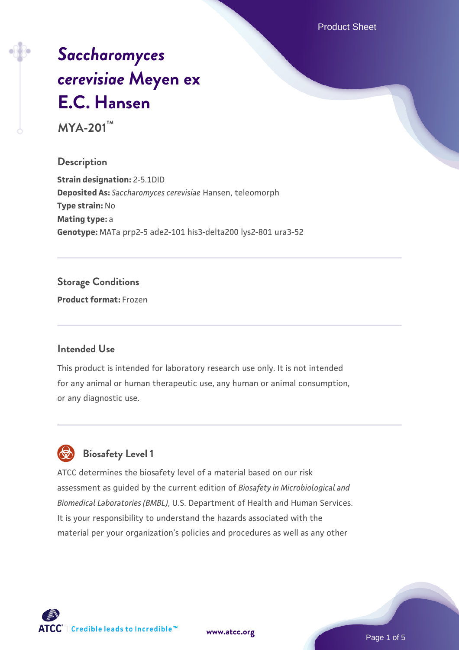Product Sheet

# *[Saccharomyces](https://www.atcc.org/products/mya-201) [cerevisiae](https://www.atcc.org/products/mya-201)* **[Meyen ex](https://www.atcc.org/products/mya-201) [E.C. Hansen](https://www.atcc.org/products/mya-201)**

**MYA-201™**

### **Description**

**Strain designation:** 2-5.1DID **Deposited As:** *Saccharomyces cerevisiae* Hansen, teleomorph **Type strain:** No **Mating type:** a **Genotype:** MATa prp2-5 ade2-101 his3-delta200 lys2-801 ura3-52

### **Storage Conditions**

**Product format:** Frozen

### **Intended Use**

This product is intended for laboratory research use only. It is not intended for any animal or human therapeutic use, any human or animal consumption, or any diagnostic use.



### **Biosafety Level 1**

ATCC determines the biosafety level of a material based on our risk assessment as guided by the current edition of *Biosafety in Microbiological and Biomedical Laboratories (BMBL)*, U.S. Department of Health and Human Services. It is your responsibility to understand the hazards associated with the material per your organization's policies and procedures as well as any other

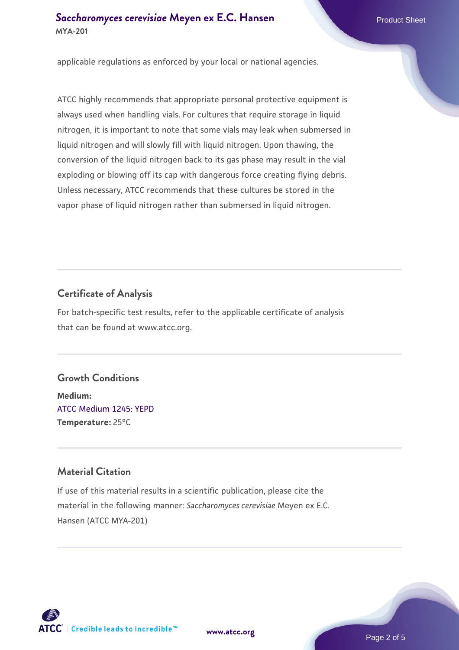### **[Saccharomyces cerevisiae](https://www.atcc.org/products/mya-201)** [Meyen ex E.C. Hansen](https://www.atcc.org/products/mya-201) **MYA-201**

applicable regulations as enforced by your local or national agencies.

ATCC highly recommends that appropriate personal protective equipment is always used when handling vials. For cultures that require storage in liquid nitrogen, it is important to note that some vials may leak when submersed in liquid nitrogen and will slowly fill with liquid nitrogen. Upon thawing, the conversion of the liquid nitrogen back to its gas phase may result in the vial exploding or blowing off its cap with dangerous force creating flying debris. Unless necessary, ATCC recommends that these cultures be stored in the vapor phase of liquid nitrogen rather than submersed in liquid nitrogen.

### **Certificate of Analysis**

For batch-specific test results, refer to the applicable certificate of analysis that can be found at www.atcc.org.

### **Growth Conditions**

**Medium:**  [ATCC Medium 1245: YEPD](https://www.atcc.org/-/media/product-assets/documents/microbial-media-formulations/1/2/4/5/atcc-medium-1245.pdf?rev=705ca55d1b6f490a808a965d5c072196) **Temperature:** 25°C

### **Material Citation**

If use of this material results in a scientific publication, please cite the material in the following manner: *Saccharomyces cerevisiae* Meyen ex E.C. Hansen (ATCC MYA-201)



**[www.atcc.org](http://www.atcc.org)**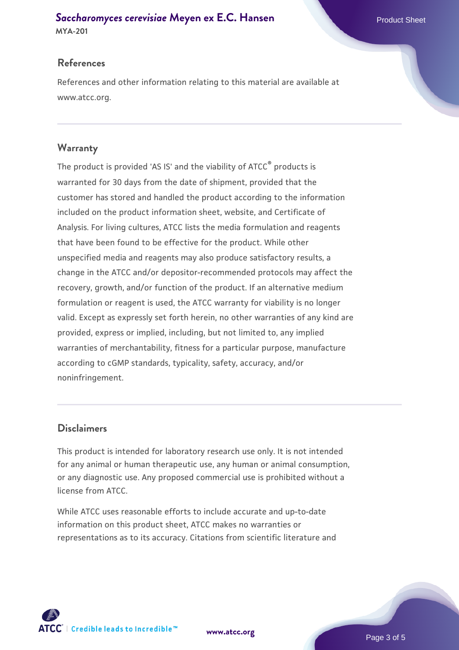## **[Saccharomyces cerevisiae](https://www.atcc.org/products/mya-201)** [Meyen ex E.C. Hansen](https://www.atcc.org/products/mya-201)

**MYA-201**

### **References**

References and other information relating to this material are available at www.atcc.org.

### **Warranty**

The product is provided 'AS IS' and the viability of ATCC® products is warranted for 30 days from the date of shipment, provided that the customer has stored and handled the product according to the information included on the product information sheet, website, and Certificate of Analysis. For living cultures, ATCC lists the media formulation and reagents that have been found to be effective for the product. While other unspecified media and reagents may also produce satisfactory results, a change in the ATCC and/or depositor-recommended protocols may affect the recovery, growth, and/or function of the product. If an alternative medium formulation or reagent is used, the ATCC warranty for viability is no longer valid. Except as expressly set forth herein, no other warranties of any kind are provided, express or implied, including, but not limited to, any implied warranties of merchantability, fitness for a particular purpose, manufacture according to cGMP standards, typicality, safety, accuracy, and/or noninfringement.

### **Disclaimers**

This product is intended for laboratory research use only. It is not intended for any animal or human therapeutic use, any human or animal consumption, or any diagnostic use. Any proposed commercial use is prohibited without a license from ATCC.

While ATCC uses reasonable efforts to include accurate and up-to-date information on this product sheet, ATCC makes no warranties or representations as to its accuracy. Citations from scientific literature and

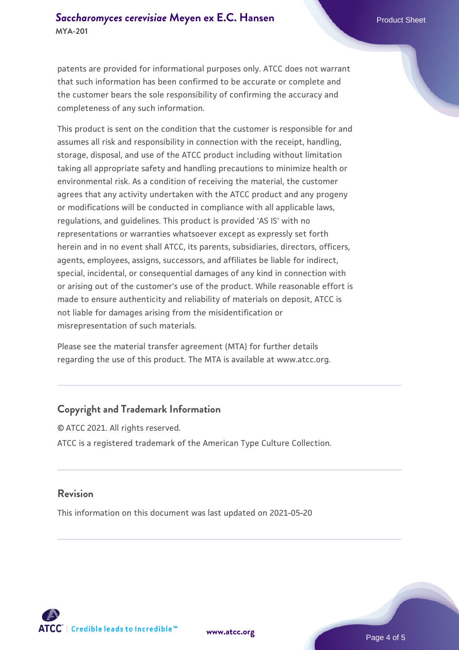patents are provided for informational purposes only. ATCC does not warrant that such information has been confirmed to be accurate or complete and the customer bears the sole responsibility of confirming the accuracy and completeness of any such information.

This product is sent on the condition that the customer is responsible for and assumes all risk and responsibility in connection with the receipt, handling, storage, disposal, and use of the ATCC product including without limitation taking all appropriate safety and handling precautions to minimize health or environmental risk. As a condition of receiving the material, the customer agrees that any activity undertaken with the ATCC product and any progeny or modifications will be conducted in compliance with all applicable laws, regulations, and guidelines. This product is provided 'AS IS' with no representations or warranties whatsoever except as expressly set forth herein and in no event shall ATCC, its parents, subsidiaries, directors, officers, agents, employees, assigns, successors, and affiliates be liable for indirect, special, incidental, or consequential damages of any kind in connection with or arising out of the customer's use of the product. While reasonable effort is made to ensure authenticity and reliability of materials on deposit, ATCC is not liable for damages arising from the misidentification or misrepresentation of such materials.

Please see the material transfer agreement (MTA) for further details regarding the use of this product. The MTA is available at www.atcc.org.

### **Copyright and Trademark Information**

© ATCC 2021. All rights reserved. ATCC is a registered trademark of the American Type Culture Collection.

### **Revision**

This information on this document was last updated on 2021-05-20



**[www.atcc.org](http://www.atcc.org)**